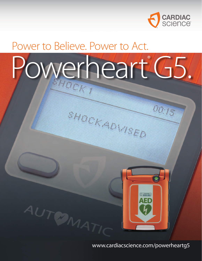

00:15

## Power to Believe. Power to Act.

AUTOMATIC

# Powerheart<sup>®</sup>G5.

SHOCK ADWEED



www.cardiacscience.com/powerheartg5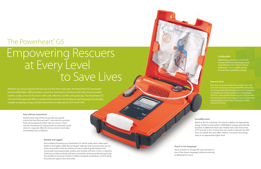## The Powerheart<sup>®</sup> G5

Whether you are an experienced rescuer or a first-time responder, the Powerheart G5 automated external defibrillator (AED) provides a powerful combination of features that help rescuers provide sudden cardiac arrest (SCA) victims with swift, effective, and life-saving therapy. The Powerheart G5 is the first FDA-approved AED to combine fully automatic shock delivery, dual-language functionality, variable escalating energy, and fast shock times to help save an SCA victim's life.

## Empowering Rescuers at Every Level<br>to Save Lives

#### **Easy without compromise**

Perform each step of the rescue with user-paced instruction from RescueCoach™ voice and text prompts. Pads can be placed on either side of a victim's chest, and the Powerheart G5 only provides an automatic shock when it is required. After the rescue, extract event data immediately from a USB port.

#### **Fluent in two languages**

Touch a button to change the voice prompts to one of the chosen languages without restarting or delaying the rescue.

#### **Configurable**

Adjust rescue prompts to match the rescuer's skill level and change shock and CPR protocols to match clinical preferences. Easily update settings if resuscitation guidelines change.

#### **Incredibly smart**

Watch as the G5 customizes the shock to deliver the appropriate energy needed to each patient. Defibrillation energy automatically escalates if additional shocks are needed with a fast shock time of 10 seconds or less. If more than one shock is required, the AED does not repeat the same effort. Rather, it increases the energy input to an appropriate higher level.

#### **Reliable and rugged**

Feel confident knowing your Powerheart G5 will be ready when called upon thanks to the highly visible Rescue Ready® indicator that communicates rescue status and confirms that the internal circuitry, medical-grade battery, and rescue pads have passed daily, weekly, and monthly self-tests. In fact, a collective 4,100 hours of Rescue Ready self-tests around the world are performed each day. The durable G5 has been tested to military standards and features an IP55 rating for protection against dust and water.

#### **Peace of mind**

Rest easy as the Powerheart G5 is built to last with an 8-year warranty, a strong indemnification policy, and a 4-year full operational performance guarantee on Intellisense® medical grade non-rechargeable batteries. Feel confident knowing your AED provider has pioneered AED technology for over 20 years and helped deploy a half-million Powerheart AEDs around the world.